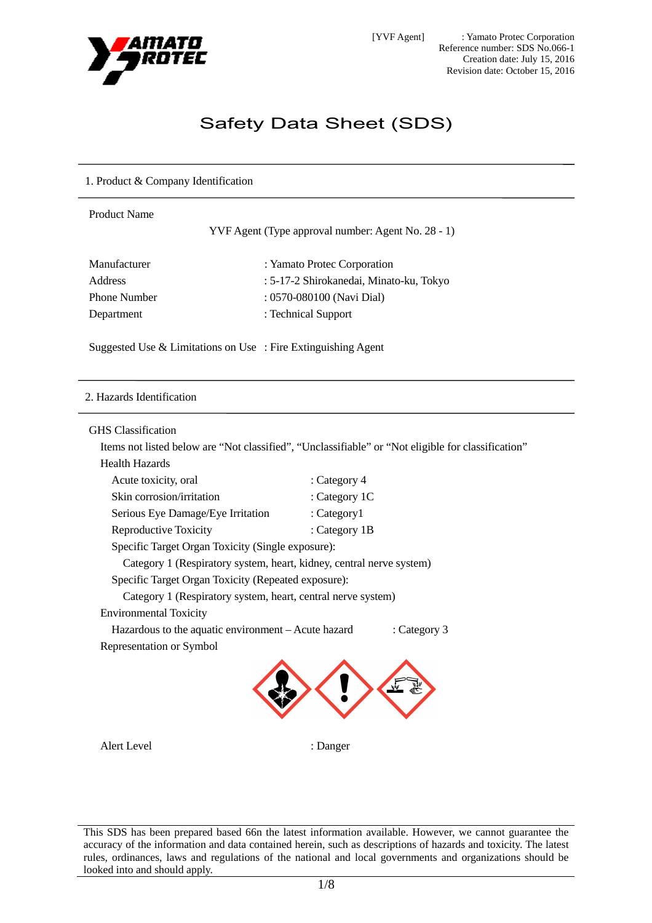

# Safety Data Sheet (SDS)

# 1. Product & Company Identification

| <b>Product Name</b> | YVF Agent (Type approval number: Agent No. 28 - 1) |
|---------------------|----------------------------------------------------|
| Manufacturer        | : Yamato Protec Corporation                        |
| <b>Address</b>      | : 5-17-2 Shirokanedai, Minato-ku, Tokyo            |
| <b>Phone Number</b> | : 0570-080100 (Navi Dial)                          |
| Department          | : Technical Support                                |
|                     |                                                    |

Suggested Use & Limitations on Use : Fire Extinguishing Agent

#### 2. Hazards Identification

#### GHS Classification

Items not listed below are "Not classified", "Unclassifiable" or "Not eligible for classification"

Health Hazards

| Acute toxicity, oral                                                 | : Category 4    |              |
|----------------------------------------------------------------------|-----------------|--------------|
| Skin corrosion/irritation                                            | : Category 1C   |              |
| Serious Eye Damage/Eye Irritation                                    | : $Categorical$ |              |
| Reproductive Toxicity                                                | : Category 1B   |              |
| Specific Target Organ Toxicity (Single exposure):                    |                 |              |
| Category 1 (Respiratory system, heart, kidney, central nerve system) |                 |              |
| Specific Target Organ Toxicity (Repeated exposure):                  |                 |              |
| Category 1 (Respiratory system, heart, central nerve system)         |                 |              |
| <b>Environmental Toxicity</b>                                        |                 |              |
| Hazardous to the aquatic environment – Acute hazard                  |                 | : Category 3 |
| Representation or Symbol                                             |                 |              |
|                                                                      |                 |              |
|                                                                      |                 |              |
|                                                                      |                 |              |

Alert Level : Danger

This SDS has been prepared based 66n the latest information available. However, we cannot guarantee the accuracy of the information and data contained herein, such as descriptions of hazards and toxicity. The latest rules, ordinances, laws and regulations of the national and local governments and organizations should be looked into and should apply.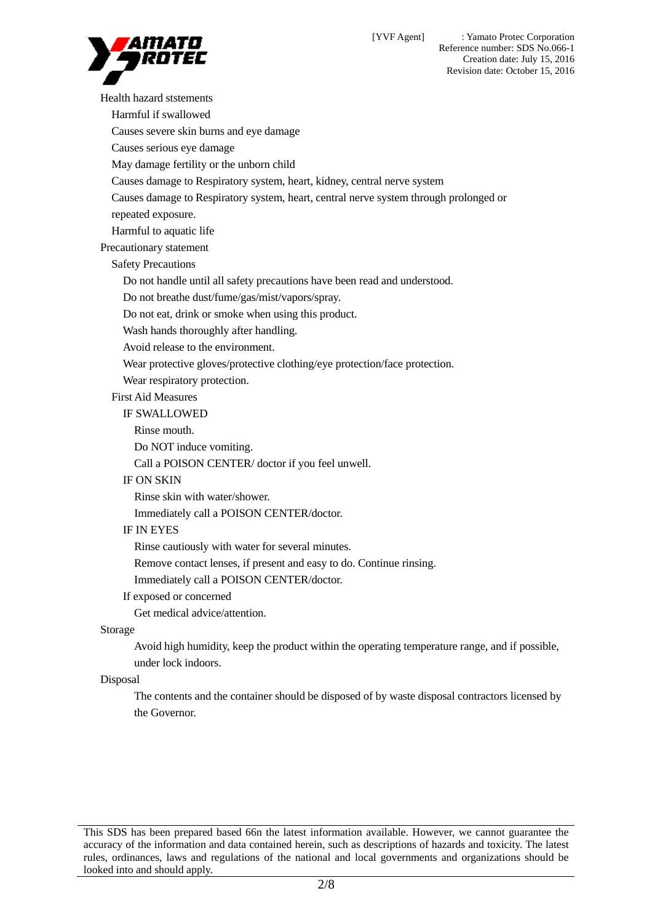Reference number: SDS No.066-1 Creation date: July 15, 2016

Revision date: October 15, 2016 Health hazard ststements Harmful if swallowed Causes severe skin burns and eye damage Causes serious eye damage May damage fertility or the unborn child Causes damage to Respiratory system, heart, kidney, central nerve system Causes damage to Respiratory system, heart, central nerve system through prolonged or repeated exposure. Harmful to aquatic life Precautionary statement Safety Precautions Do not handle until all safety precautions have been read and understood. Do not breathe dust/fume/gas/mist/vapors/spray. Do not eat, drink or smoke when using this product. Wash hands thoroughly after handling. Avoid release to the environment. Wear protective gloves/protective clothing/eye protection/face protection. Wear respiratory protection. First Aid Measures IF SWALLOWED Rinse mouth. Do NOT induce vomiting. Call a POISON CENTER/ doctor if you feel unwell. IF ON SKIN Rinse skin with water/shower. Immediately call a POISON CENTER/doctor. IF IN EYES Rinse cautiously with water for several minutes. Remove contact lenses, if present and easy to do. Continue rinsing.

Immediately call a POISON CENTER/doctor.

#### If exposed or concerned

Get medical advice/attention.

## Storage

Avoid high humidity, keep the product within the operating temperature range, and if possible, under lock indoors.

#### Disposal

The contents and the container should be disposed of by waste disposal contractors licensed by the Governor.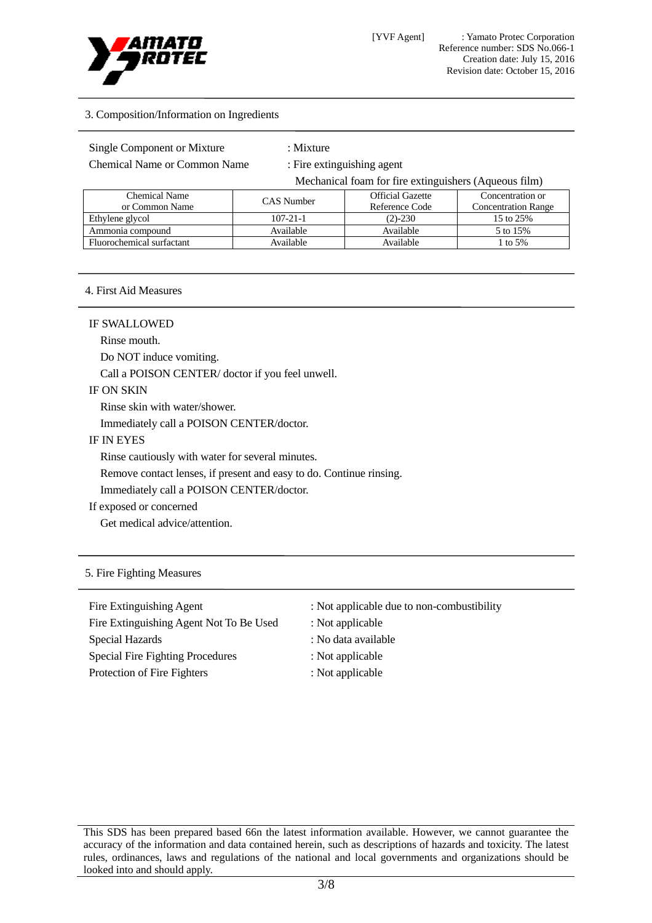

## 3. Composition/Information on Ingredients

Chemical Name or Common Name : Fire extinguishing agent

Mechanical foam for fire extinguishers (Aqueous film)

| Chemical Name<br>or Common Name | CAS Number     | <b>Official Gazette</b><br>Reference Code | Concentration or<br><b>Concentration Range</b> |
|---------------------------------|----------------|-------------------------------------------|------------------------------------------------|
| Ethylene glycol                 | $107 - 21 - 1$ | $(2) - 230$                               | 15 to 25%                                      |
| Ammonia compound                | Available      | Available                                 | 5 to 15%                                       |
| Fluorochemical surfactant       | Available      | Available                                 | to 5%                                          |

: Mixture

#### 4. First Aid Measures

IF SWALLOWED

Rinse mouth.

Do NOT induce vomiting.

Call a POISON CENTER/ doctor if you feel unwell.

#### IF ON SKIN

Rinse skin with water/shower.

Immediately call a POISON CENTER/doctor.

## IF IN EYES

Rinse cautiously with water for several minutes.

Remove contact lenses, if present and easy to do. Continue rinsing.

Immediately call a POISON CENTER/doctor.

If exposed or concerned

Get medical advice/attention.

# 5. Fire Fighting Measures

Fire Extinguishing Agent : Not applicable due to non-combustibility Fire Extinguishing Agent Not To Be Used : Not applicable Special Hazards : No data available Special Fire Fighting Procedures : Not applicable Protection of Fire Fighters : Not applicable

- 
- 
- 
- 
-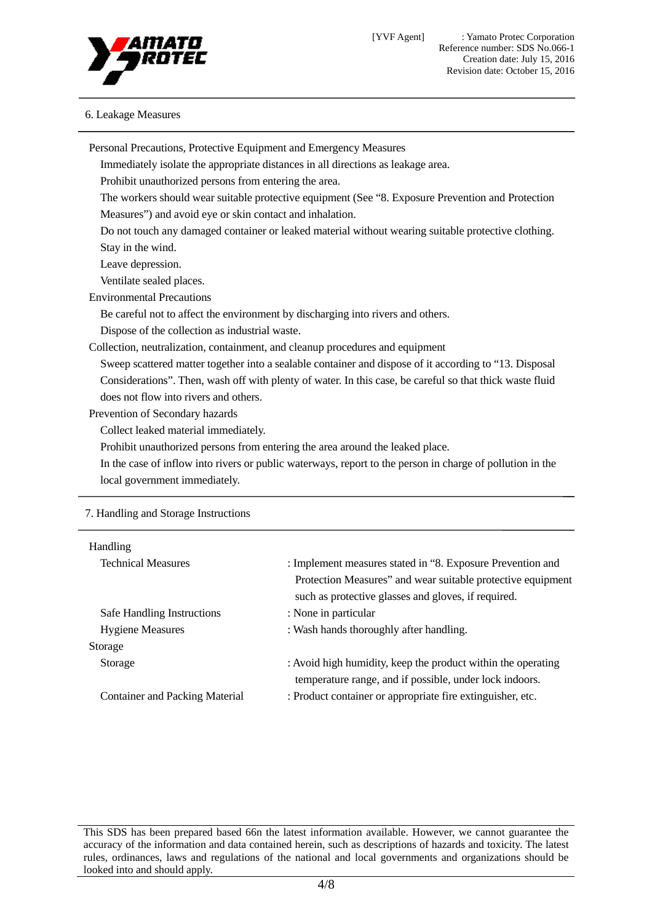

## 6. Leakage Measures

| Personal Precautions, Protective Equipment and Emergency Measures                                        |                                                                                                           |  |
|----------------------------------------------------------------------------------------------------------|-----------------------------------------------------------------------------------------------------------|--|
|                                                                                                          | Immediately isolate the appropriate distances in all directions as leakage area.                          |  |
| Prohibit unauthorized persons from entering the area.                                                    |                                                                                                           |  |
|                                                                                                          | The workers should wear suitable protective equipment (See "8. Exposure Prevention and Protection         |  |
| Measures") and avoid eye or skin contact and inhalation.                                                 |                                                                                                           |  |
|                                                                                                          | Do not touch any damaged container or leaked material without wearing suitable protective clothing.       |  |
| Stay in the wind.                                                                                        |                                                                                                           |  |
| Leave depression.                                                                                        |                                                                                                           |  |
| Ventilate sealed places.                                                                                 |                                                                                                           |  |
| <b>Environmental Precautions</b>                                                                         |                                                                                                           |  |
|                                                                                                          | Be careful not to affect the environment by discharging into rivers and others.                           |  |
| Dispose of the collection as industrial waste.                                                           |                                                                                                           |  |
| Collection, neutralization, containment, and cleanup procedures and equipment                            |                                                                                                           |  |
|                                                                                                          | Sweep scattered matter together into a sealable container and dispose of it according to "13. Disposal    |  |
| Considerations". Then, wash off with plenty of water. In this case, be careful so that thick waste fluid |                                                                                                           |  |
| does not flow into rivers and others.                                                                    |                                                                                                           |  |
| Prevention of Secondary hazards                                                                          |                                                                                                           |  |
| Collect leaked material immediately.                                                                     |                                                                                                           |  |
|                                                                                                          | Prohibit unauthorized persons from entering the area around the leaked place.                             |  |
|                                                                                                          | In the case of inflow into rivers or public waterways, report to the person in charge of pollution in the |  |
| local government immediately.                                                                            |                                                                                                           |  |
|                                                                                                          |                                                                                                           |  |
| 7. Handling and Storage Instructions                                                                     |                                                                                                           |  |
| Handling                                                                                                 |                                                                                                           |  |
| <b>Technical Measures</b>                                                                                | : Implement measures stated in "8. Exposure Prevention and                                                |  |
|                                                                                                          | Protection Measures" and wear suitable protective equipment                                               |  |
|                                                                                                          | such as protective glasses and gloves, if required.                                                       |  |
| Safe Handling Instructions                                                                               | : None in particular                                                                                      |  |
| <b>Hygiene Measures</b>                                                                                  | : Wash hands thoroughly after handling.                                                                   |  |
| Storage                                                                                                  |                                                                                                           |  |
| Storage                                                                                                  | : Avoid high humidity, keep the product within the operating                                              |  |

Container and Packing Material : Product container or appropriate fire extinguisher, etc.

temperature range, and if possible, under lock indoors.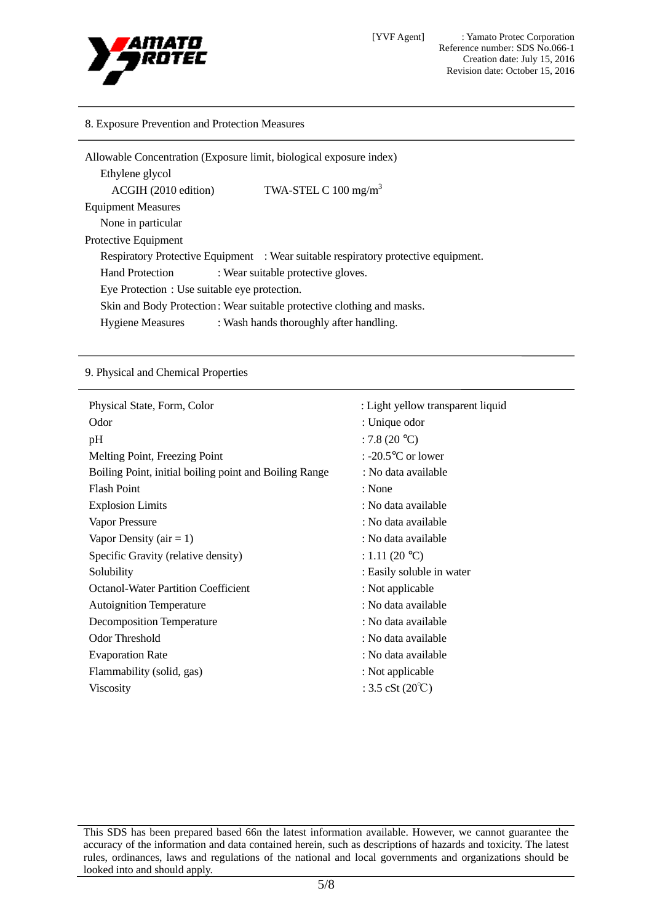

[YVF Agent] : Yamato Protec Corporation Reference number: SDS No.066-1 Creation date: July 15, 2016 Revision date: October 15, 2016

#### 8. Exposure Prevention and Protection Measures

| Allowable Concentration (Exposure limit, biological exposure index)    |                                                                                    |  |
|------------------------------------------------------------------------|------------------------------------------------------------------------------------|--|
| Ethylene glycol                                                        |                                                                                    |  |
| ACGIH (2010 edition)                                                   | TWA-STEL C $100 \text{ mg/m}^3$                                                    |  |
| <b>Equipment Measures</b>                                              |                                                                                    |  |
| None in particular                                                     |                                                                                    |  |
| Protective Equipment                                                   |                                                                                    |  |
|                                                                        | Respiratory Protective Equipment : Wear suitable respiratory protective equipment. |  |
| <b>Hand Protection</b>                                                 | : Wear suitable protective gloves.                                                 |  |
| Eye Protection : Use suitable eye protection.                          |                                                                                    |  |
| Skin and Body Protection: Wear suitable protective clothing and masks. |                                                                                    |  |
| <b>Hygiene Measures</b>                                                | : Wash hands thoroughly after handling.                                            |  |

#### 9. Physical and Chemical Properties

| Physical State, Form, Color                            | : Light yellow transparent liquid |
|--------------------------------------------------------|-----------------------------------|
|                                                        |                                   |
| Odor                                                   | : Unique odor                     |
| pH                                                     | : 7.8 $(20 °C)$                   |
| Melting Point, Freezing Point                          | : -20.5 $\degree$ C or lower      |
| Boiling Point, initial boiling point and Boiling Range | : No data available               |
| <b>Flash Point</b>                                     | : None                            |
| <b>Explosion Limits</b>                                | : No data available               |
| Vapor Pressure                                         | : No data available               |
| Vapor Density ( $air = 1$ )                            | : No data available               |
| Specific Gravity (relative density)                    | : 1.11 (20 $^{\circ}$ C)          |
| Solubility                                             | : Easily soluble in water         |
| <b>Octanol-Water Partition Coefficient</b>             | : Not applicable                  |
| <b>Autoignition Temperature</b>                        | : No data available               |
| <b>Decomposition Temperature</b>                       | : No data available               |
| <b>Odor Threshold</b>                                  | : No data available               |
| <b>Evaporation Rate</b>                                | : No data available               |
| Flammability (solid, gas)                              | : Not applicable                  |
| <b>Viscosity</b>                                       | : 3.5 cSt $(20^{\circ}C)$         |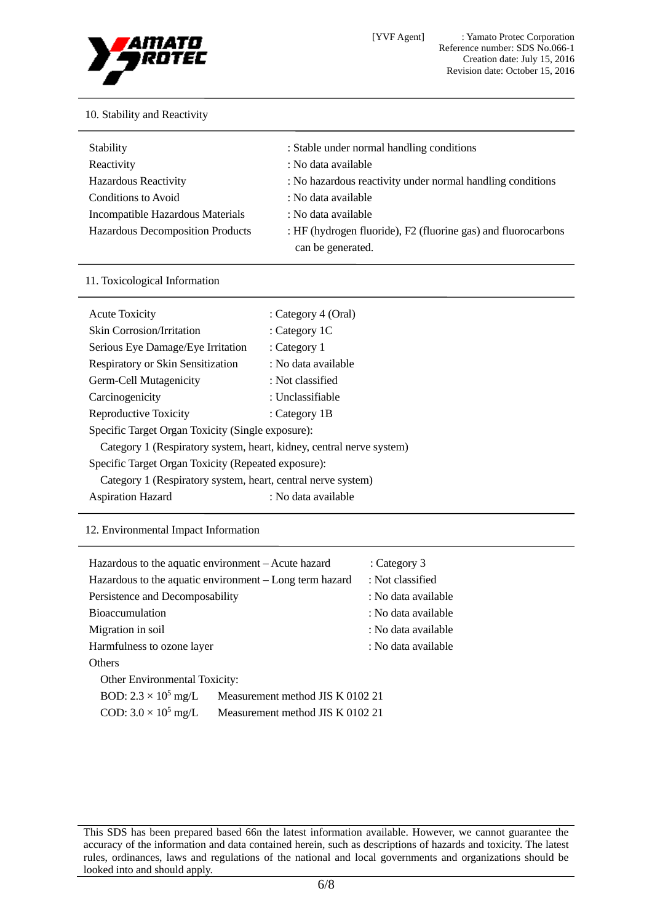

# 10. Stability and Reactivity

| Stability                        | : Stable under normal handling conditions                                          |
|----------------------------------|------------------------------------------------------------------------------------|
| Reactivity                       | : No data available                                                                |
| <b>Hazardous Reactivity</b>      | : No hazardous reactivity under normal handling conditions                         |
| Conditions to Avoid              | : No data available                                                                |
| Incompatible Hazardous Materials | : No data available                                                                |
| Hazardous Decomposition Products | : HF (hydrogen fluoride), F2 (fluorine gas) and fluorocarbons<br>can be generated. |

## 11. Toxicological Information

| <b>Acute Toxicity</b>                                                | : Category 4 (Oral) |  |
|----------------------------------------------------------------------|---------------------|--|
| <b>Skin Corrosion/Irritation</b>                                     | : Category 1C       |  |
| Serious Eye Damage/Eye Irritation                                    | : Category 1        |  |
| Respiratory or Skin Sensitization                                    | : No data available |  |
| Germ-Cell Mutagenicity                                               | : Not classified    |  |
| Carcinogenicity                                                      | : Unclassifiable    |  |
| Reproductive Toxicity                                                | : Category 1B       |  |
| Specific Target Organ Toxicity (Single exposure):                    |                     |  |
| Category 1 (Respiratory system, heart, kidney, central nerve system) |                     |  |
| Specific Target Organ Toxicity (Repeated exposure):                  |                     |  |
| Category 1 (Respiratory system, heart, central nerve system)         |                     |  |
| <b>Aspiration Hazard</b>                                             | : No data available |  |

## 12. Environmental Impact Information

| Hazardous to the aquatic environment - Acute hazard     |                                  | : Category 3        |  |
|---------------------------------------------------------|----------------------------------|---------------------|--|
| Hazardous to the aquatic environment – Long term hazard |                                  | : Not classified    |  |
| Persistence and Decomposability                         |                                  | : No data available |  |
| <b>Bioaccumulation</b>                                  |                                  | : No data available |  |
| Migration in soil                                       |                                  | : No data available |  |
| Harmfulness to ozone layer                              |                                  | : No data available |  |
| <b>Others</b>                                           |                                  |                     |  |
| <b>Other Environmental Toxicity:</b>                    |                                  |                     |  |
| BOD: $2.3 \times 10^5$ mg/L                             | Measurement method JIS K 0102 21 |                     |  |
| COD: $3.0 \times 10^5$ mg/L                             | Measurement method JIS K 0102 21 |                     |  |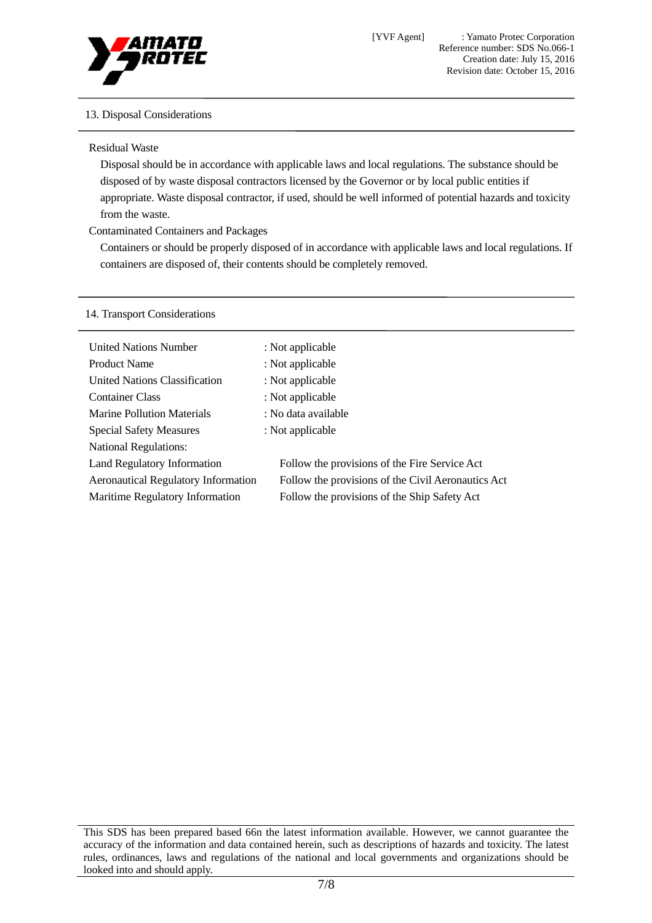

# 13. Disposal Considerations

Residual Waste

Disposal should be in accordance with applicable laws and local regulations. The substance should be disposed of by waste disposal contractors licensed by the Governor or by local public entities if appropriate. Waste disposal contractor, if used, should be well informed of potential hazards and toxicity from the waste.

Contaminated Containers and Packages

Containers or should be properly disposed of in accordance with applicable laws and local regulations. If containers are disposed of, their contents should be completely removed.

# 14. Transport Considerations

| <b>United Nations Number</b>               | : Not applicable                                   |  |
|--------------------------------------------|----------------------------------------------------|--|
| <b>Product Name</b>                        | : Not applicable                                   |  |
| United Nations Classification              | : Not applicable                                   |  |
| <b>Container Class</b>                     | : Not applicable                                   |  |
| <b>Marine Pollution Materials</b>          | : No data available                                |  |
| <b>Special Safety Measures</b>             | : Not applicable                                   |  |
| <b>National Regulations:</b>               |                                                    |  |
| Land Regulatory Information                | Follow the provisions of the Fire Service Act      |  |
| <b>Aeronautical Regulatory Information</b> | Follow the provisions of the Civil Aeronautics Act |  |
| Maritime Regulatory Information            | Follow the provisions of the Ship Safety Act       |  |
|                                            |                                                    |  |

This SDS has been prepared based 66n the latest information available. However, we cannot guarantee the accuracy of the information and data contained herein, such as descriptions of hazards and toxicity. The latest rules, ordinances, laws and regulations of the national and local governments and organizations should be looked into and should apply.